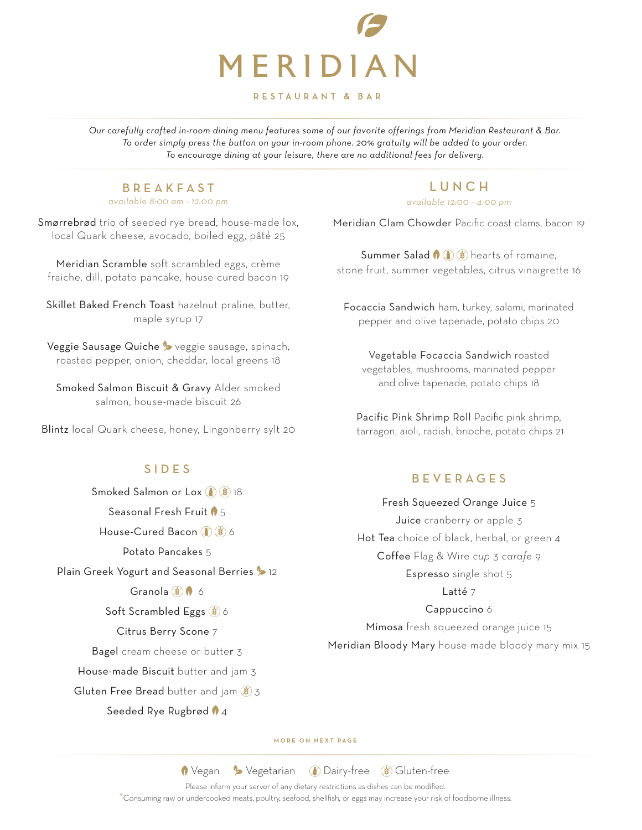

#### RESTAURANT & BAR

*Our carefully crafted in-room dining menu features some of our favorite offerings from Meridian Restaurant & Bar. To order simply press the button on your in-room phone. 20% gratuity will be added to your order. To encourage dining at your leisure, there are no additional fees for delivery.* 

#### BREAKFAST *available 8:00 am - 12:00 pm*

Smørrebrød trio of seeded rye bread, house-made lox, local Quark cheese, avocado, boiled egg, pâté 25

Meridian Scramble soft scrambled eggs, crème fraiche, dill, potato pancake, house-cured bacon 19

Skillet Baked French Toast hazelnut praline, butter, maple syrup 17

Veggie Sausage Quiche > veggie sausage, spinach, roasted pepper, onion, cheddar, local greens 18

Smoked Salmon Biscuit & Gravy Alder smoked salmon, house-made biscuit 26

Blintz local Quark cheese, honey, Lingonberry sylt 20

# SIDES

Smoked Salmon or Lox (1) (1) 18 Seasonal Fresh Fruit  $\sqrt{5}$ House-Cured Bacon (1) (8) 6 Potato Pancakes 5 Plain Greek Yogurt and Seasonal Berries > 12 Granola  $\mathbf{\hat{B}}$   $\mathbf{\hat{0}}$  6 Soft Scrambled Eggs (8) 6 Citrus Berry Scone 7 Bagel cream cheese or butter 3 House-made Biscuit butter and jam 3 Gluten Free Bread butter and jam  $\binom{3}{2}$  3

#### Seeded Rye Rugbrød 14

# LUNCH

*available 12:00 - 4:00 pm*

Meridian Clam Chowder Pacific coast clams, bacon 19

Summer Salad  $\bigcirc$   $\bigcirc$   $\bigcirc$  hearts of romaine. stone fruit, summer vegetables, citrus vinaigrette 16

Focaccia Sandwich ham, turkey, salami, marinated pepper and olive tapenade, potato chips 20

Vegetable Focaccia Sandwich roasted vegetables, mushrooms, marinated pepper and olive tapenade, potato chips 18

Pacific Pink Shrimp Roll Pacific pink shrimp, tarragon, aioli, radish, brioche, potato chips 21

# BEVERAGES

## Fresh Squeezed Orange Juice 5

Juice cranberry or apple 3 Hot Tea choice of black, herbal, or green 4 Coffee Flag & Wire *cup* 3 *carafe* 9 Espresso single shot 5

Latté 7

## Cappuccino 6

Mimosa fresh squeezed orange juice 15 Meridian Bloody Mary house-made bloody mary mix 15

**MORE ON NEXT PAGE**

**1** Vegan > Vegetarian 1 Dairy-free 3 Gluten-free

Please inform your server of any dietary restrictions as dishes can be modified.

\*Consuming raw or undercooked meats, poultry, seafood, shellfish, or eggs may increase your risk of foodborne illness.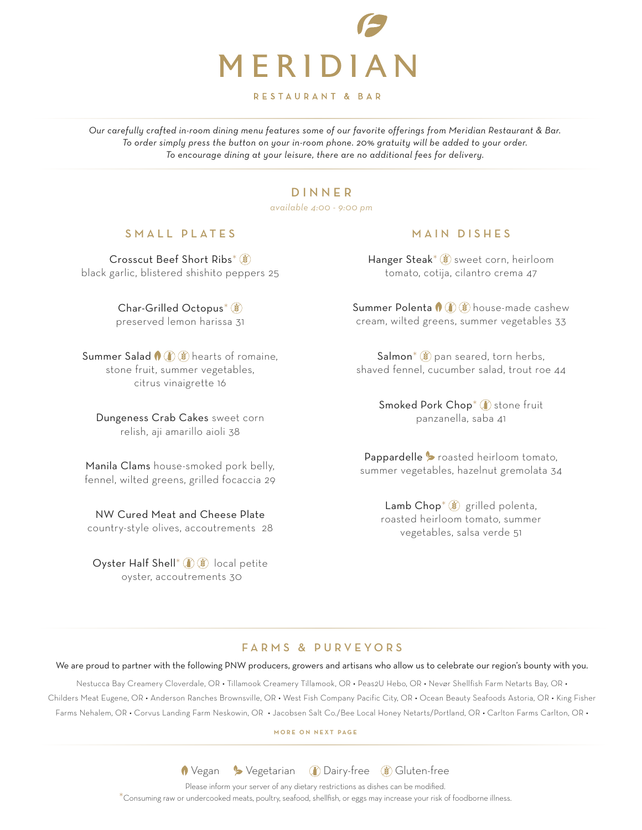

RESTAURANT & BAR

*Our carefully crafted in-room dining menu features some of our favorite offerings from Meridian Restaurant & Bar. To order simply press the button on your in-room phone. 20% gratuity will be added to your order. To encourage dining at your leisure, there are no additional fees for delivery.* 

# DINNER

*available 4:00 - 9:00 pm*

# SMALL PLATES

Crosscut Beef Short Ribs\* (8) black garlic, blistered shishito peppers 25

> Char-Grilled Octopus\* preserved lemon harissa 31

**Summer Salad**  $\bigcirc$   $\bigcirc$   $\bigcirc$  hearts of romaine. stone fruit, summer vegetables, citrus vinaigrette 16

Dungeness Crab Cakes sweet corn relish, aji amarillo aioli 38

Manila Clams house-smoked pork belly, fennel, wilted greens, grilled focaccia 29

NW Cured Meat and Cheese Plate country-style olives, accoutrements 28

Oyster Half Shell\*  $\mathbb{I}$   $\mathbb{I}$   $\mathbb{I}$  local petite oyster, accoutrements 30

#### MAIN DISHES

Hanger Steak<sup>\*</sup> sweet corn, heirloom tomato, cotija, cilantro crema 47

**Summer Polenta**  $\bigcirc$   $\bigcirc$   $\bigcirc$  house-made cashew cream, wilted greens, summer vegetables 33

 $Salmon^*(\mathcal{L})$  pan seared, torn herbs, shaved fennel, cucumber salad, trout roe 44

> Smoked Pork Chop<sup>\*</sup> (1) stone fruit panzanella, saba 41

Pappardelle  $\triangleright$  roasted heirloom tomato, summer vegetables, hazelnut gremolata 34

> Lamb  $Chop^*(\mathcal{L})$  grilled polenta, roasted heirloom tomato, summer vegetables, salsa verde 51

# FARMS & PURVEYORS

We are proud to partner with the following PNW producers, growers and artisans who allow us to celebrate our region's bounty with you.

Nestucca Bay Creamery Cloverdale, OR • Tillamook Creamery Tillamook, OR • Peas2U Hebo, OR • Nevør Shellfish Farm Netarts Bay, OR • Childers Meat Eugene, OR • Anderson Ranches Brownsville, OR • West Fish Company Pacific City, OR • Ocean Beauty Seafoods Astoria, OR • King Fisher Farms Nehalem, OR • Corvus Landing Farm Neskowin, OR • Jacobsen Salt Co./Bee Local Honey Netarts/Portland, OR • Carlton Farms Carlton, OR •

**MORE ON NEXT PAGE**

**1** Vegan > Vegetarian 1 Dairy-free 3 Gluten-free

Please inform your server of any dietary restrictions as dishes can be modified.

\*Consuming raw or undercooked meats, poultry, seafood, shellfish, or eggs may increase your risk of foodborne illness.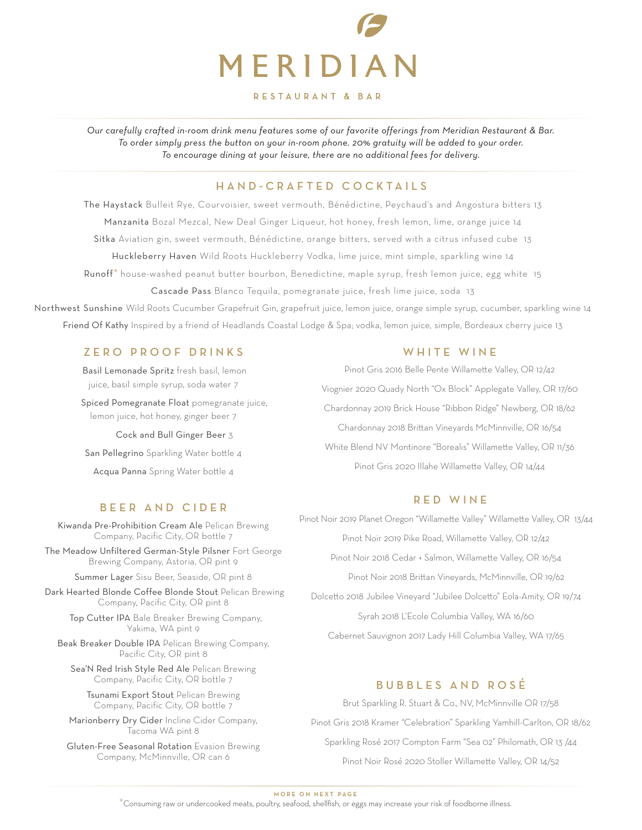

#### RESTAURANT & BAR

*Our carefully crafted in-room drink menu features some of our favorite offerings from Meridian Restaurant & Bar. To order simply press the button on your in-room phone. 20% gratuity will be added to your order. To encourage dining at your leisure, there are no additional fees for delivery.* 

# HAND-CRAFTED COCKTAILS

The Haystack Bulleit Rye, Courvoisier, sweet vermouth, Bénédictine, Peychaud's and Angostura bitters 13 Manzanita Bozal Mezcal, New Deal Ginger Liqueur, hot honey, fresh lemon, lime, orange juice 14 Sitka Aviation gin, sweet vermouth, Bénédictine, orange bitters, served with a citrus infused cube 13 Huckleberry Haven Wild Roots Huckleberry Vodka, lime juice, mint simple, sparkling wine 14 Runoff\* house-washed peanut butter bourbon, Benedictine, maple syrup, fresh lemon juice, egg white 15

Cascade Pass Blanco Tequila, pomegranate juice, fresh lime juice, soda 13

Northwest Sunshine Wild Roots Cucumber Grapefruit Gin, grapefruit juice, lemon juice, orange simple syrup, cucumber, sparkling wine 14 Friend Of Kathy Inspired by a friend of Headlands Coastal Lodge & Spa; vodka, lemon juice, simple, Bordeaux cherry juice 13

# ZERO PROOF DRINKS WHITE WINE

 Basil Lemonade Spritz fresh basil, lemon juice, basil simple syrup, soda water 7

 Spiced Pomegranate Float pomegranate juice, lemon juice, hot honey, ginger beer 7

Cock and Bull Ginger Beer 3

San Pellegrino Sparkling Water bottle 4

Acqua Panna Spring Water bottle 4

# BEER AND CIDER

Kiwanda Pre-Prohibition Cream Ale Pelican Brewing Company, Pacific City, OR bottle 7

The Meadow Unfiltered German-Style Pilsner Fort George Brewing Company, Astoria, OR pint 9

Summer Lager Sisu Beer, Seaside, OR pint 8

 Dark Hearted Blonde Coffee Blonde Stout Pelican Brewing Company, Pacific City, OR pint 8

 Top Cutter IPA Bale Breaker Brewing Company, Yakima, WA pint 9

Beak Breaker Double IPA Pelican Brewing Company, Pacific City, OR pint 8

Sea'N Red Irish Style Red Ale Pelican Brewing Company, Pacific City, OR bottle 7

Tsunami Export Stout Pelican Brewing Company, Pacific City, OR bottle 7

Marionberry Dry Cider Incline Cider Company, Tacoma WA pint 8

Gluten-Free Seasonal Rotation Evasion Brewing Company, McMinnville, OR can 6

Pinot Gris 2016 Belle Pente Willamette Valley, OR 12/42 Viognier 2020 Quady North "Ox Block" Applegate Valley, OR 17/60 Chardonnay 2019 Brick House "Ribbon Ridge" Newberg, OR 18/62 Chardonnay 2018 Brittan Vineyards McMinnville, OR 16/54 White Blend NV Montinore "Borealis" Willamette Valley, OR 11/36 Pinot Gris 2020 Illahe Willamette Valley, OR 14/44

## RED WINE

Pinot Noir 2019 Planet Oregon "Willamette Valley" Willamette Valley, OR 13/44 Pinot Noir 2019 Pike Road, Willamette Valley, OR 12/42 Pinot Noir 2018 Cedar + Salmon, Willamette Valley, OR 16/54 Pinot Noir 2018 Brittan Vineyards, McMinnville, OR 19/62 Dolcetto 2018 Jubilee Vineyard "Jubilee Dolcetto" Eola-Amity, OR 19/74 Syrah 2018 L'Ecole Columbia Valley, WA 16/60 Cabernet Sauvignon 2017 Lady Hill Columbia Valley, WA 17/65

# BUBBLES AND ROS É

Brut Sparkling R. Stuart & Co., NV, McMinnville OR 17/58 Pinot Gris 2018 Kramer "Celebration" Sparkling Yamhill-Carlton, OR 18/62 Sparkling Rosé 2017 Compton Farm "Sea 02" Philomath, OR 13 /44 Pinot Noir Rosé 2020 Stoller Willamette Valley, OR 14/52

**MORE ON NEXT PAGE**

\*Consuming raw or undercooked meats, poultry, seafood, shellfish, or eggs may increase your risk of foodborne illness.